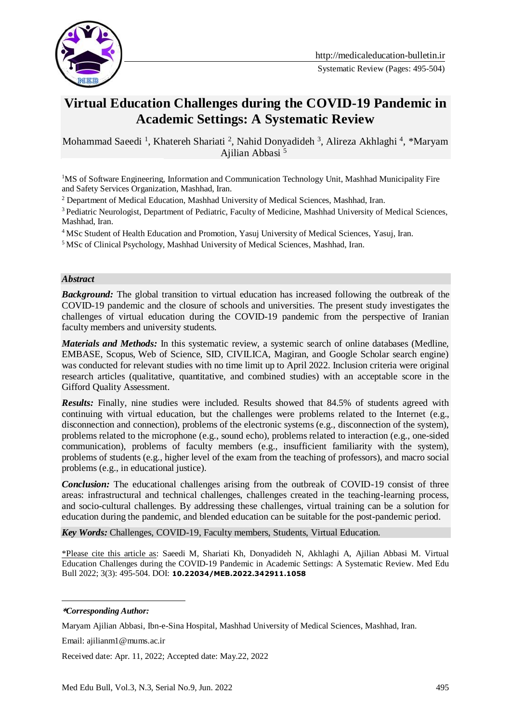

# **Virtual Education Challenges during the COVID-19 Pandemic in Academic Settings: A Systematic Review**

Mohammad Saeedi<sup>1</sup>, Khatereh Shariati<sup>2</sup>, Nahid Donyadideh<sup>3</sup>, Alireza Akhlaghi<sup>4</sup>, \*Maryam Ajilian Abbasi <sup>51</sup>

<sup>1</sup>MS of Software Engineering, Information and Communication Technology Unit, Mashhad Municipality Fire and Safety Services Organization, Mashhad, Iran.

<sup>2</sup> Department of Medical Education, Mashhad University of Medical Sciences, Mashhad, Iran.

<sup>3</sup> Pediatric Neurologist, Department of Pediatric, Faculty of Medicine, Mashhad University of Medical Sciences, Mashhad, Iran.

<sup>4</sup> MSc Student of Health Education and Promotion, Yasuj University of Medical Sciences, Yasuj, Iran.

<sup>5</sup> MSc of Clinical Psychology, Mashhad University of Medical Sciences, Mashhad, Iran.

#### *Abstract*

**Background:** The global transition to virtual education has increased following the outbreak of the COVID-19 pandemic and the closure of schools and universities. The present study investigates the challenges of virtual education during the COVID-19 pandemic from the perspective of Iranian faculty members and university students.

*Materials and Methods:* In this systematic review, a systemic search of online databases (Medline, EMBASE, Scopus, Web of Science, SID, CIVILICA, Magiran, and Google Scholar search engine) was conducted for relevant studies with no time limit up to April 2022. Inclusion criteria were original research articles (qualitative, quantitative, and combined studies) with an acceptable score in the Gifford Quality Assessment.

*Results:* Finally, nine studies were included. Results showed that 84.5% of students agreed with continuing with virtual education, but the challenges were problems related to the Internet (e.g., disconnection and connection), problems of the electronic systems (e.g., disconnection of the system), problems related to the microphone (e.g., sound echo), problems related to interaction (e.g., one-sided communication), problems of faculty members (e.g., insufficient familiarity with the system), problems of students (e.g., higher level of the exam from the teaching of professors), and macro social problems (e.g., in educational justice).

*Conclusion:* The educational challenges arising from the outbreak of COVID-19 consist of three areas: infrastructural and technical challenges, challenges created in the teaching-learning process, and socio-cultural challenges. By addressing these challenges, virtual training can be a solution for education during the pandemic, and blended education can be suitable for the post-pandemic period.

*Key Words:* Challenges, COVID-19, Faculty members, Students, Virtual Education.

\*Please cite this article as: Saeedi M, Shariati Kh, Donyadideh N, Akhlaghi A, Ajilian Abbasi M. Virtual Education Challenges during the COVID-19 Pandemic in Academic Settings: A Systematic Review. Med Edu Bull 2022; 3(3): 495-504. DOI: **10.22034/MEB.2022.342911.1058**

-**\****Corresponding Author:*

Maryam Ajilian Abbasi, Ibn-e-Sina Hospital, Mashhad University of Medical Sciences, Mashhad, Iran.

Email: ajilianm1@mums.ac.ir

Received date: Apr. 11, 2022; Accepted date: May.22, 2022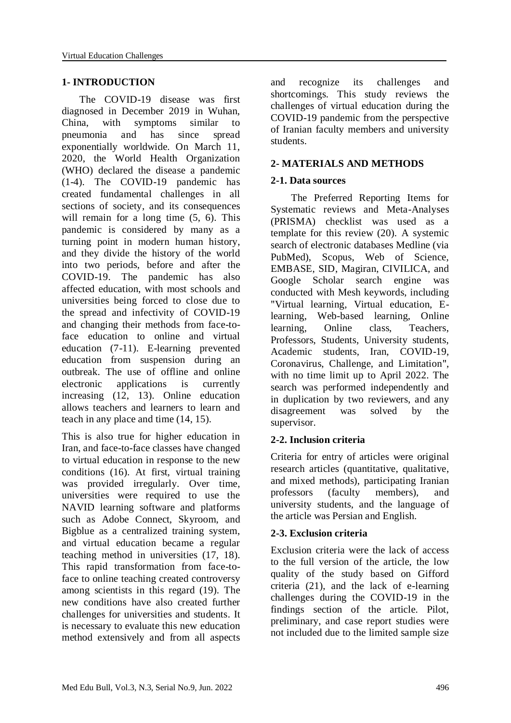# **1- INTRODUCTION**

 The COVID-19 disease was first diagnosed in December 2019 in Wuhan, China, with symptoms similar to pneumonia and has since spread exponentially worldwide. On March 11, 2020, the World Health Organization (WHO) declared the disease a pandemic (1-4). The COVID-19 pandemic has created fundamental challenges in all sections of society, and its consequences will remain for a long time  $(5, 6)$ . This pandemic is considered by many as a turning point in modern human history, and they divide the history of the world into two periods, before and after the COVID-19. The pandemic has also affected education, with most schools and universities being forced to close due to the spread and infectivity of COVID-19 and changing their methods from face-toface education to online and virtual education (7-11). E-learning prevented education from suspension during an outbreak. The use of offline and online electronic applications is currently increasing (12, 13). Online education allows teachers and learners to learn and teach in any place and time (14, 15).

This is also true for higher education in Iran, and face-to-face classes have changed to virtual education in response to the new conditions (16). At first, virtual training was provided irregularly. Over time, universities were required to use the NAVID learning software and platforms such as Adobe Connect, Skyroom, and Bigblue as a centralized training system, and virtual education became a regular teaching method in universities (17, 18). This rapid transformation from face-toface to online teaching created controversy among scientists in this regard (19). The new conditions have also created further challenges for universities and students. It is necessary to evaluate this new education method extensively and from all aspects

and recognize its challenges and shortcomings. This study reviews the challenges of virtual education during the COVID-19 pandemic from the perspective of Iranian faculty members and university students.

# **2- MATERIALS AND METHODS**

### **2-1. Data sources**

 The Preferred Reporting Items for Systematic reviews and Meta-Analyses (PRISMA) checklist was used as a template for this review (20). A systemic search of electronic databases Medline (via PubMed), Scopus, Web of Science, EMBASE, SID, Magiran, CIVILICA, and Google Scholar search engine was conducted with Mesh keywords, including "Virtual learning, Virtual education, Elearning, Web-based learning, Online learning, Online class, Teachers, Professors, Students, University students, Academic students, Iran, COVID-19, Coronavirus, Challenge, and Limitation", with no time limit up to April 2022. The search was performed independently and in duplication by two reviewers, and any disagreement was solved by the supervisor.

# **2-2. Inclusion criteria**

Criteria for entry of articles were original research articles (quantitative, qualitative, and mixed methods), participating Iranian professors (faculty members), and university students, and the language of the article was Persian and English.

# **2-3. Exclusion criteria**

Exclusion criteria were the lack of access to the full version of the article, the low quality of the study based on Gifford criteria (21), and the lack of e-learning challenges during the COVID-19 in the findings section of the article. Pilot, preliminary, and case report studies were not included due to the limited sample size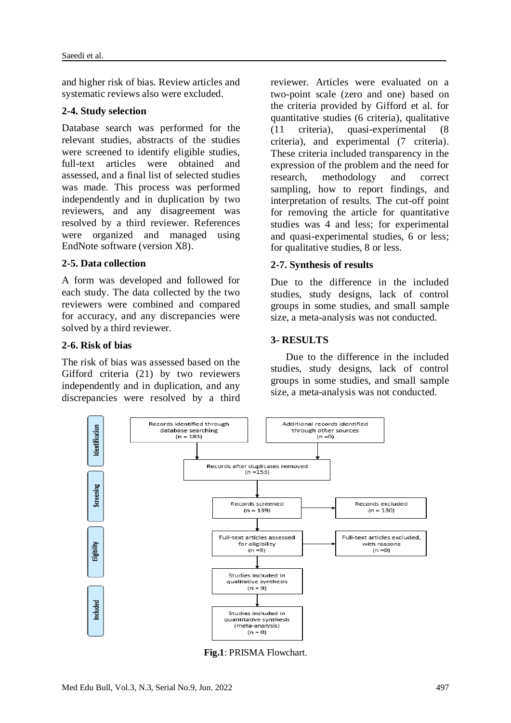and higher risk of bias. Review articles and systematic reviews also were excluded.

### **2-4. Study selection**

Database search was performed for the relevant studies, abstracts of the studies were screened to identify eligible studies, full-text articles were obtained and assessed, and a final list of selected studies was made. This process was performed independently and in duplication by two reviewers, and any disagreement was resolved by a third reviewer. References were organized and managed using EndNote software (version X8).

# **2-5. Data collection**

A form was developed and followed for each study. The data collected by the two reviewers were combined and compared for accuracy, and any discrepancies were solved by a third reviewer.

#### **2-6. Risk of bias**

The risk of bias was assessed based on the Gifford criteria (21) by two reviewers independently and in duplication, and any discrepancies were resolved by a third

reviewer. Articles were evaluated on a two-point scale (zero and one) based on the criteria provided by Gifford et al. for quantitative studies (6 criteria), qualitative (11 criteria), quasi-experimental (8 criteria), and experimental (7 criteria). These criteria included transparency in the expression of the problem and the need for research, methodology and correct sampling, how to report findings, and interpretation of results. The cut-off point for removing the article for quantitative studies was 4 and less; for experimental and quasi-experimental studies, 6 or less; for qualitative studies, 8 or less.

# **2-7. Synthesis of results**

Due to the difference in the included studies, study designs, lack of control groups in some studies, and small sample size, a meta-analysis was not conducted.

# **3- RESULTS**

 Due to the difference in the included studies, study designs, lack of control groups in some studies, and small sample size, a meta-analysis was not conducted.



**Fig.1**: PRISMA Flowchart.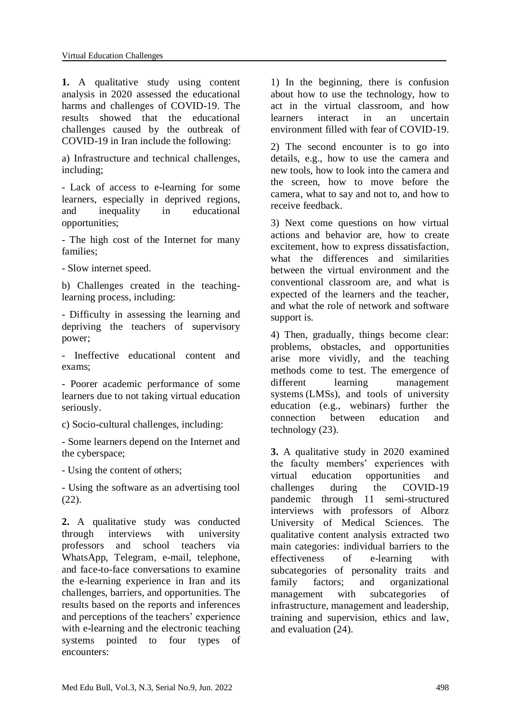**1.** A qualitative study using content analysis in 2020 assessed the educational harms and challenges of COVID-19. The results showed that the educational challenges caused by the outbreak of COVID-19 in Iran include the following:

a) Infrastructure and technical challenges, including;

- Lack of access to e-learning for some learners, especially in deprived regions, and inequality in educational opportunities;

- The high cost of the Internet for many families;

- Slow internet speed.

b) Challenges created in the teachinglearning process, including:

- Difficulty in assessing the learning and depriving the teachers of supervisory power;

- Ineffective educational content and exams;

- Poorer academic performance of some learners due to not taking virtual education seriously.

c) Socio-cultural challenges, including:

- Some learners depend on the Internet and the cyberspace;

- Using the content of others;

- Using the software as an advertising tool (22).

**2.** A qualitative study was conducted through interviews with university professors and school teachers via WhatsApp, Telegram, e-mail, telephone, and face-to-face conversations to examine the e-learning experience in Iran and its challenges, barriers, and opportunities. The results based on the reports and inferences and perceptions of the teachers' experience with e-learning and the electronic teaching systems pointed to four types of encounters:

1) In the beginning, there is confusion about how to use the technology, how to act in the virtual classroom, and how learners interact in an uncertain environment filled with fear of COVID-19.

2) The second encounter is to go into details, e.g., how to use the camera and new tools, how to look into the camera and the screen, how to move before the camera, what to say and not to, and how to receive feedback.

3) Next come questions on how virtual actions and behavior are, how to create excitement, how to express dissatisfaction, what the differences and similarities between the virtual environment and the conventional classroom are, and what is expected of the learners and the teacher, and what the role of network and software support is.

4) Then, gradually, things become clear: problems, obstacles, and opportunities arise more vividly, and the teaching methods come to test. The emergence of different learning management systems (LMSs), and tools of university education (e.g., webinars) further the connection between education and technology (23).

**3.** A qualitative study in 2020 examined the faculty members' experiences with virtual education opportunities and challenges during the COVID-19 pandemic through 11 semi-structured interviews with professors of Alborz University of Medical Sciences. The qualitative content analysis extracted two main categories: individual barriers to the effectiveness of e-learning with subcategories of personality traits and family factors; and organizational management with subcategories of infrastructure, management and leadership, training and supervision, ethics and law, and evaluation (24).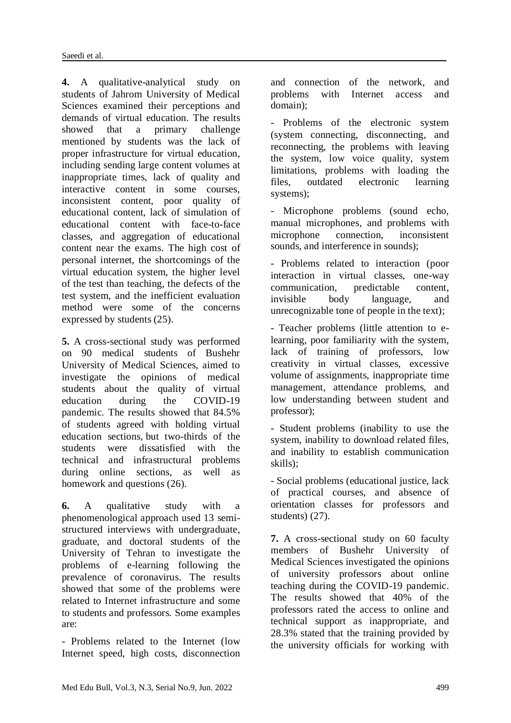**4.** A qualitative-analytical study on students of Jahrom University of Medical Sciences examined their perceptions and demands of virtual education. The results showed that a primary challenge mentioned by students was the lack of proper infrastructure for virtual education, including sending large content volumes at inappropriate times, lack of quality and interactive content in some courses, inconsistent content, poor quality of educational content, lack of simulation of educational content with face-to-face classes, and aggregation of educational content near the exams. The high cost of personal internet, the shortcomings of the virtual education system, the higher level of the test than teaching, the defects of the test system, and the inefficient evaluation method were some of the concerns expressed by students (25).

**5.** A cross-sectional study was performed on 90 medical students of Bushehr University of Medical Sciences, aimed to investigate the opinions of medical students about the quality of virtual education during the COVID-19 pandemic. The results showed that 84.5% of students agreed with holding virtual education sections, but two-thirds of the students were dissatisfied with the technical and infrastructural problems during online sections, as well as homework and questions (26).

**6.** A qualitative study with a phenomenological approach used 13 semistructured interviews with undergraduate, graduate, and doctoral students of the University of Tehran to investigate the problems of e-learning following the prevalence of coronavirus. The results showed that some of the problems were related to Internet infrastructure and some to students and professors. Some examples are:

- Problems related to the Internet (low Internet speed, high costs, disconnection and connection of the network, and problems with Internet access and domain);

- Problems of the electronic system (system connecting, disconnecting, and reconnecting, the problems with leaving the system, low voice quality, system limitations, problems with loading the files, outdated electronic learning systems);

- Microphone problems (sound echo, manual microphones, and problems with microphone connection, inconsistent sounds, and interference in sounds);

- Problems related to interaction (poor interaction in virtual classes, one-way communication, predictable content, invisible body language, and unrecognizable tone of people in the text);

- Teacher problems (little attention to elearning, poor familiarity with the system, lack of training of professors, low creativity in virtual classes, excessive volume of assignments, inappropriate time management, attendance problems, and low understanding between student and professor);

- Student problems (inability to use the system, inability to download related files, and inability to establish communication skills);

- Social problems (educational justice, lack of practical courses, and absence of orientation classes for professors and students) (27).

**7.** A cross-sectional study on 60 faculty members of Bushehr University of Medical Sciences investigated the opinions of university professors about online teaching during the COVID-19 pandemic. The results showed that 40% of the professors rated the access to online and technical support as inappropriate, and 28.3% stated that the training provided by the university officials for working with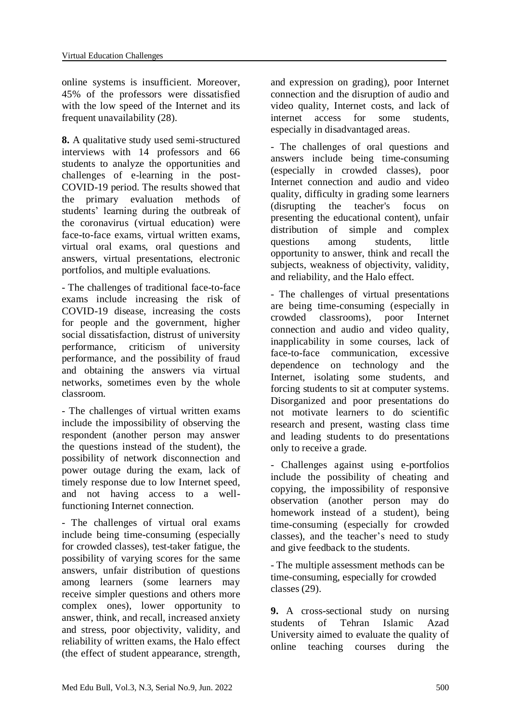online systems is insufficient. Moreover, 45% of the professors were dissatisfied with the low speed of the Internet and its frequent unavailability (28).

**8.** A qualitative study used semi-structured interviews with 14 professors and 66 students to analyze the opportunities and challenges of e-learning in the post-COVID-19 period. The results showed that the primary evaluation methods of students' learning during the outbreak of the coronavirus (virtual education) were face-to-face exams, virtual written exams, virtual oral exams, oral questions and answers, virtual presentations, electronic portfolios, and multiple evaluations.

- The challenges of traditional face-to-face exams include increasing the risk of COVID-19 disease, increasing the costs for people and the government, higher social dissatisfaction, distrust of university performance, criticism of university performance, and the possibility of fraud and obtaining the answers via virtual networks, sometimes even by the whole classroom.

- The challenges of virtual written exams include the impossibility of observing the respondent (another person may answer the questions instead of the student), the possibility of network disconnection and power outage during the exam, lack of timely response due to low Internet speed, and not having access to a wellfunctioning Internet connection.

- The challenges of virtual oral exams include being time-consuming (especially for crowded classes), test-taker fatigue, the possibility of varying scores for the same answers, unfair distribution of questions among learners (some learners may receive simpler questions and others more complex ones), lower opportunity to answer, think, and recall, increased anxiety and stress, poor objectivity, validity, and reliability of written exams, the Halo effect (the effect of student appearance, strength,

and expression on grading), poor Internet connection and the disruption of audio and video quality, Internet costs, and lack of internet access for some students, especially in disadvantaged areas.

- The challenges of oral questions and answers include being time-consuming (especially in crowded classes), poor Internet connection and audio and video quality, difficulty in grading some learners (disrupting the teacher's focus on presenting the educational content), unfair distribution of simple and complex questions among students, little opportunity to answer, think and recall the subjects, weakness of objectivity, validity, and reliability, and the Halo effect.

- The challenges of virtual presentations are being time-consuming (especially in crowded classrooms), poor Internet connection and audio and video quality, inapplicability in some courses, lack of face-to-face communication, excessive dependence on technology and the Internet, isolating some students, and forcing students to sit at computer systems. Disorganized and poor presentations do not motivate learners to do scientific research and present, wasting class time and leading students to do presentations only to receive a grade.

- Challenges against using e-portfolios include the possibility of cheating and copying, the impossibility of responsive observation (another person may do homework instead of a student), being time-consuming (especially for crowded classes), and the teacher's need to study and give feedback to the students.

- The multiple assessment methods can be time-consuming, especially for crowded classes (29).

**9.** A cross-sectional study on nursing students of Tehran Islamic Azad University aimed to evaluate the quality of online teaching courses during the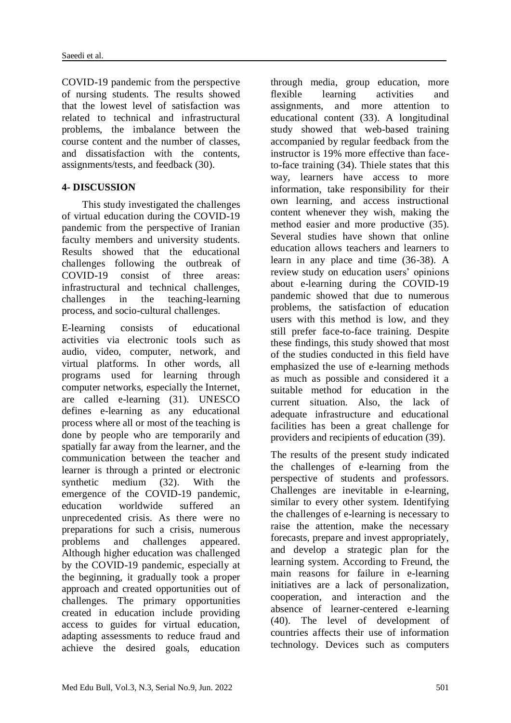COVID-19 pandemic from the perspective of nursing students. The results showed that the lowest level of satisfaction was related to technical and infrastructural problems, the imbalance between the course content and the number of classes, and dissatisfaction with the contents, assignments/tests, and feedback (30).

# **4- DISCUSSION**

 This study investigated the challenges of virtual education during the COVID-19 pandemic from the perspective of Iranian faculty members and university students. Results showed that the educational challenges following the outbreak of COVID-19 consist of three areas: infrastructural and technical challenges, challenges in the teaching-learning process, and socio-cultural challenges.

E-learning consists of educational activities via electronic tools such as audio, video, computer, network, and virtual platforms. In other words, all programs used for learning through computer networks, especially the Internet, are called e-learning (31). UNESCO defines e-learning as any educational process where all or most of the teaching is done by people who are temporarily and spatially far away from the learner, and the communication between the teacher and learner is through a printed or electronic synthetic medium (32). With the emergence of the COVID-19 pandemic, education worldwide suffered an unprecedented crisis. As there were no preparations for such a crisis, numerous problems and challenges appeared. Although higher education was challenged by the COVID-19 pandemic, especially at the beginning, it gradually took a proper approach and created opportunities out of challenges. The primary opportunities created in education include providing access to guides for virtual education, adapting assessments to reduce fraud and achieve the desired goals, education

through media, group education, more flexible learning activities and assignments, and more attention to educational content (33). A longitudinal study showed that web-based training accompanied by regular feedback from the instructor is 19% more effective than faceto-face training (34). Thiele states that this way, learners have access to more information, take responsibility for their own learning, and access instructional content whenever they wish, making the method easier and more productive (35). Several studies have shown that online education allows teachers and learners to learn in any place and time (36-38). A review study on education users' opinions about e-learning during the COVID-19 pandemic showed that due to numerous problems, the satisfaction of education users with this method is low, and they still prefer face-to-face training. Despite these findings, this study showed that most of the studies conducted in this field have emphasized the use of e-learning methods as much as possible and considered it a suitable method for education in the current situation. Also, the lack of adequate infrastructure and educational facilities has been a great challenge for providers and recipients of education (39).

The results of the present study indicated the challenges of e-learning from the perspective of students and professors. Challenges are inevitable in e-learning, similar to every other system. Identifying the challenges of e-learning is necessary to raise the attention, make the necessary forecasts, prepare and invest appropriately, and develop a strategic plan for the learning system. According to Freund, the main reasons for failure in e-learning initiatives are a lack of personalization, cooperation, and interaction and the absence of learner-centered e-learning (40). The level of development of countries affects their use of information technology. Devices such as computers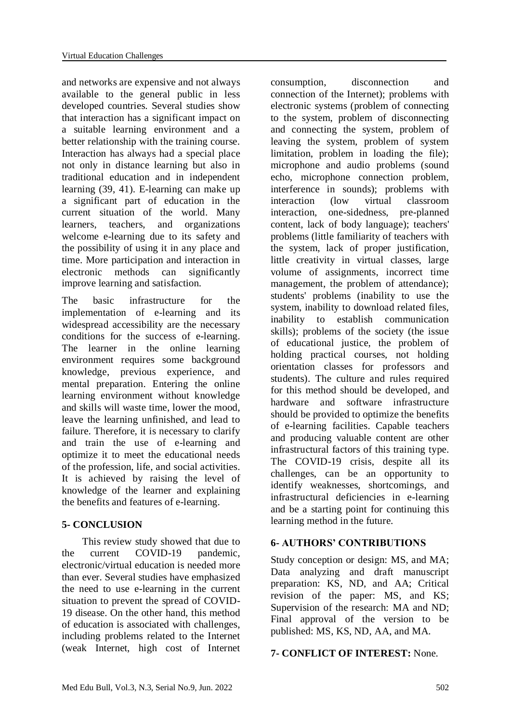and networks are expensive and not always available to the general public in less developed countries. Several studies show that interaction has a significant impact on a suitable learning environment and a better relationship with the training course. Interaction has always had a special place not only in distance learning but also in traditional education and in independent learning (39, 41). E-learning can make up a significant part of education in the current situation of the world. Many learners, teachers, and organizations welcome e-learning due to its safety and the possibility of using it in any place and time. More participation and interaction in electronic methods can significantly improve learning and satisfaction.

The basic infrastructure for the implementation of e-learning and its widespread accessibility are the necessary conditions for the success of e-learning. The learner in the online learning environment requires some background knowledge, previous experience, and mental preparation. Entering the online learning environment without knowledge and skills will waste time, lower the mood, leave the learning unfinished, and lead to failure. Therefore, it is necessary to clarify and train the use of e-learning and optimize it to meet the educational needs of the profession, life, and social activities. It is achieved by raising the level of knowledge of the learner and explaining the benefits and features of e-learning.

# **5- CONCLUSION**

 This review study showed that due to the current COVID-19 pandemic, electronic/virtual education is needed more than ever. Several studies have emphasized the need to use e-learning in the current situation to prevent the spread of COVID-19 disease. On the other hand, this method of education is associated with challenges, including problems related to the Internet (weak Internet, high cost of Internet

consumption, disconnection and connection of the Internet); problems with electronic systems (problem of connecting to the system, problem of disconnecting and connecting the system, problem of leaving the system, problem of system limitation, problem in loading the file); microphone and audio problems (sound echo, microphone connection problem, interference in sounds); problems with interaction (low virtual classroom interaction, one-sidedness, pre-planned content, lack of body language); teachers' problems (little familiarity of teachers with the system, lack of proper justification, little creativity in virtual classes, large volume of assignments, incorrect time management, the problem of attendance); students' problems (inability to use the system, inability to download related files, inability to establish communication skills); problems of the society (the issue of educational justice, the problem of holding practical courses, not holding orientation classes for professors and students). The culture and rules required for this method should be developed, and hardware and software infrastructure should be provided to optimize the benefits of e-learning facilities. Capable teachers and producing valuable content are other infrastructural factors of this training type. The COVID-19 crisis, despite all its challenges, can be an opportunity to identify weaknesses, shortcomings, and infrastructural deficiencies in e-learning and be a starting point for continuing this learning method in the future.

# **6- AUTHORS' CONTRIBUTIONS**

Study conception or design: MS, and MA; Data analyzing and draft manuscript preparation: KS, ND, and AA; Critical revision of the paper: MS, and KS; Supervision of the research: MA and ND; Final approval of the version to be published: MS, KS, ND, AA, and MA.

# **7- CONFLICT OF INTEREST:** None.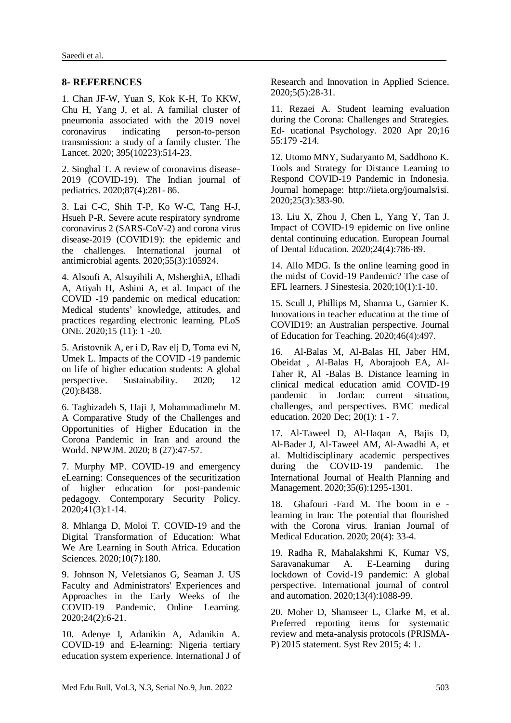#### **8- REFERENCES**

1. Chan JF-W, Yuan S, Kok K-H, To KKW, Chu H, Yang J, et al. A familial cluster of pneumonia associated with the 2019 novel coronavirus indicating person-to-person transmission: a study of a family cluster. The Lancet. 2020; 395(10223):514-23.

2. Singhal T. A review of coronavirus disease-2019 (COVID-19). The Indian journal of pediatrics. 2020;87(4):281- 86.

3. Lai C-C, Shih T-P, Ko W-C, Tang H-J, Hsueh P-R. Severe acute respiratory syndrome coronavirus 2 (SARS-CoV-2) and corona virus disease-2019 (COVID19): the epidemic and the challenges. International journal of antimicrobial agents. 2020;55(3):105924.

4. Alsoufi A, Alsuyihili A, MsherghiA, Elhadi A, Atiyah H, Ashini A, et al. Impact of the COVID -19 pandemic on medical education: Medical students' knowledge, attitudes, and practices regarding electronic learning. PLoS ONE. 2020;15 (11): 1 -20.

5. Aristovnik A, er i D, Rav elj D, Toma evi N, Umek L. Impacts of the COVID -19 pandemic on life of higher education students: A global perspective. Sustainability. 2020; 12 (20):8438.

6. Taghizadeh S, Haji J, Mohammadimehr M. A Comparative Study of the Challenges and Opportunities of Higher Education in the Corona Pandemic in Iran and around the World. NPWJM. 2020; 8 (27):47-57.

7. Murphy MP. COVID-19 and emergency eLearning: Consequences of the securitization of higher education for post-pandemic pedagogy. Contemporary Security Policy. 2020;41(3):1-14.

8. Mhlanga D, Moloi T. COVID-19 and the Digital Transformation of Education: What We Are Learning in South Africa. Education Sciences. 2020;10(7):180.

9. Johnson N, Veletsianos G, Seaman J. US Faculty and Administrators' Experiences and Approaches in the Early Weeks of the COVID-19 Pandemic. Online Learning. 2020;24(2):6-21.

10. Adeoye I, Adanikin A, Adanikin A. COVID-19 and E-learning: Nigeria tertiary education system experience. International J of Research and Innovation in Applied Science. 2020;5(5):28-31.

11. Rezaei A. Student learning evaluation during the Corona: Challenges and Strategies. Ed- ucational Psychology. 2020 Apr 20;16 55:179 -214.

12. Utomo MNY, Sudaryanto M, Saddhono K. Tools and Strategy for Distance Learning to Respond COVID-19 Pandemic in Indonesia. Journal homepage: http://iieta.org/journals/isi. 2020;25(3):383-90.

13. Liu X, Zhou J, Chen L, Yang Y, Tan J. Impact of COVID‐19 epidemic on live online dental continuing education. European Journal of Dental Education. 2020;24(4):786-89.

14. Allo MDG. Is the online learning good in the midst of Covid-19 Pandemic? The case of EFL learners. J Sinestesia. 2020;10(1):1-10.

15. Scull J, Phillips M, Sharma U, Garnier K. Innovations in teacher education at the time of COVID19: an Australian perspective. Journal of Education for Teaching. 2020;46(4):497.

16. Al-Balas M, Al-Balas HI, Jaber HM, Obeidat , Al-Balas H, Aborajooh EA, Al-Taher R, Al -Balas B. Distance learning in clinical medical education amid COVID-19 pandemic in Jordan: current situation, challenges, and perspectives. BMC medical education. 2020 Dec; 20(1): 1 - 7.

17. Al‐Taweel D, Al‐Haqan A, Bajis D, Al‐Bader J, Al‐Taweel AM, Al‐Awadhi A, et al. Multidisciplinary academic perspectives during the COVID‐19 pandemic. The International Journal of Health Planning and Management. 2020;35(6):1295-1301.

18. Ghafouri -Fard M. The boom in e learning in Iran: The potential that flourished with the Corona virus. Iranian Journal of Medical Education. 2020; 20(4): 33-4.

19. Radha R, Mahalakshmi K, Kumar VS, Saravanakumar A. E-Learning during lockdown of Covid-19 pandemic: A global perspective. International journal of control and automation. 2020;13(4):1088-99.

20. Moher D, Shamseer L, Clarke M, et al. Preferred reporting items for systematic review and meta-analysis protocols (PRISMA-P) 2015 statement. Syst Rev 2015; 4: 1.